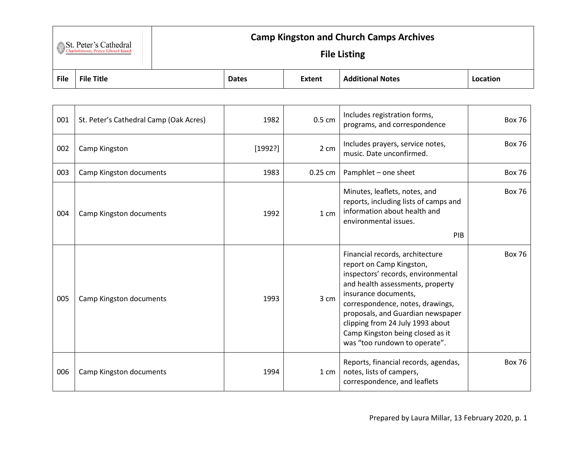| St. Peter's Cathedral               |
|-------------------------------------|
| Charlottetown, Prince Edward Island |

## **Camp Kingston and Church Camps Archives**

## **File Listing**

| <b>File</b> | <b>File</b><br>Title | <b>Dates</b> | <b>Extent</b> | ___ Add:<br>ditional Notes | Locatior |
|-------------|----------------------|--------------|---------------|----------------------------|----------|

| 001 | St. Peter's Cathedral Camp (Oak Acres) | 1982    | $0.5 \text{ cm}$ | Includes registration forms,<br>programs, and correspondence                                                                                                                                                                                                                                                                                    | <b>Box 76</b> |
|-----|----------------------------------------|---------|------------------|-------------------------------------------------------------------------------------------------------------------------------------------------------------------------------------------------------------------------------------------------------------------------------------------------------------------------------------------------|---------------|
| 002 | Camp Kingston                          | [1992?] | 2 cm             | Includes prayers, service notes,<br>music. Date unconfirmed.                                                                                                                                                                                                                                                                                    | <b>Box 76</b> |
| 003 | Camp Kingston documents                | 1983    | $0.25$ cm        | Pamphlet - one sheet                                                                                                                                                                                                                                                                                                                            | <b>Box 76</b> |
| 004 | Camp Kingston documents                | 1992    | 1 cm             | Minutes, leaflets, notes, and<br>reports, including lists of camps and<br>information about health and<br>environmental issues.<br>PIB                                                                                                                                                                                                          | <b>Box 76</b> |
| 005 | Camp Kingston documents                | 1993    | 3 cm             | Financial records, architecture<br>report on Camp Kingston,<br>inspectors' records, environmental<br>and health assessments, property<br>insurance documents,<br>correspondence, notes, drawings,<br>proposals, and Guardian newspaper<br>clipping from 24 July 1993 about<br>Camp Kingston being closed as it<br>was "too rundown to operate". | <b>Box 76</b> |
| 006 | Camp Kingston documents                | 1994    | 1 cm             | Reports, financial records, agendas,<br>notes, lists of campers,<br>correspondence, and leaflets                                                                                                                                                                                                                                                | <b>Box 76</b> |